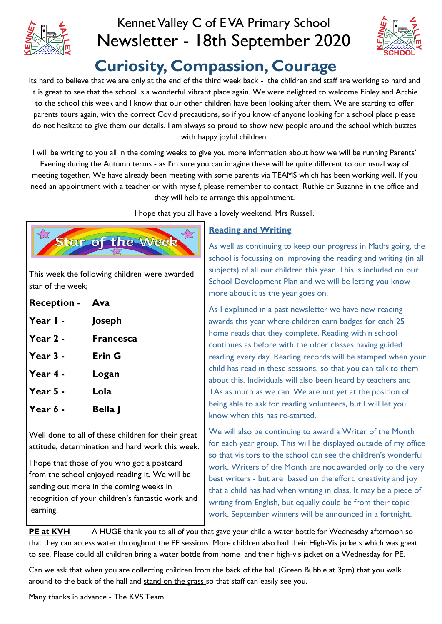

# Kennet Valley C of E VA Primary School Newsletter - 18th September 2020



# **Curiosity, Compassion, Courage**

Its hard to believe that we are only at the end of the third week back - the children and staff are working so hard and it is great to see that the school is a wonderful vibrant place again. We were delighted to welcome Finley and Archie to the school this week and I know that our other children have been looking after them. We are starting to offer parents tours again, with the correct Covid precautions, so if you know of anyone looking for a school place please do not hesitate to give them our details. I am always so proud to show new people around the school which buzzes with happy joyful children.

I will be writing to you all in the coming weeks to give you more information about how we will be running Parents'

Evening during the Autumn terms - as I'm sure you can imagine these will be quite different to our usual way of meeting together, We have already been meeting with some parents via TEAMS which has been working well. If you need an appointment with a teacher or with myself, please remember to contact Ruthie or Suzanne in the office and they will help to arrange this appointment.

I hope that you all have a lovely weekend. Mrs Russell.



This week the following children were awarded star of the week;

| <b>Reception - Ava</b> |                  |
|------------------------|------------------|
| Year $\mathsf{I}$ -    | Joseph           |
| Year $2 -$             | <b>Francesca</b> |
| Year 3 -               | <b>Erin G</b>    |
| Year 4 -               | Logan            |
| Year $5 -$             | Lola             |
| Year 6 -               | Bella I          |

Well done to all of these children for their great attitude, determination and hard work this week.

I hope that those of you who got a postcard from the school enjoyed reading it. We will be sending out more in the coming weeks in recognition of your children's fantastic work and learning.

#### **Reading and Writing**

As well as continuing to keep our progress in Maths going, the school is focussing on improving the reading and writing (in all subjects) of all our children this year. This is included on our School Development Plan and we will be letting you know more about it as the year goes on.

As I explained in a past newsletter we have new reading awards this year where children earn badges for each 25 home reads that they complete. Reading within school continues as before with the older classes having guided reading every day. Reading records will be stamped when your child has read in these sessions, so that you can talk to them about this. Individuals will also been heard by teachers and TAs as much as we can. We are not yet at the position of being able to ask for reading volunteers, but I will let you know when this has re-started.

We will also be continuing to award a Writer of the Month for each year group. This will be displayed outside of my office so that visitors to the school can see the children's wonderful work. Writers of the Month are not awarded only to the very best writers - but are based on the effort, creativity and joy that a child has had when writing in class. It may be a piece of writing from English, but equally could be from their topic work. September winners will be announced in a fortnight.

**PE at KVH** A HUGE thank you to all of you that gave your child a water bottle for Wednesday afternoon so that they can access water throughout the PE sessions. More children also had their High-Vis jackets which was great to see. Please could all children bring a water bottle from home and their high-vis jacket on a Wednesday for PE.

Can we ask that when you are collecting children from the back of the hall (Green Bubble at 3pm) that you walk around to the back of the hall and stand on the grass so that staff can easily see you.

Many thanks in advance - The KVS Team